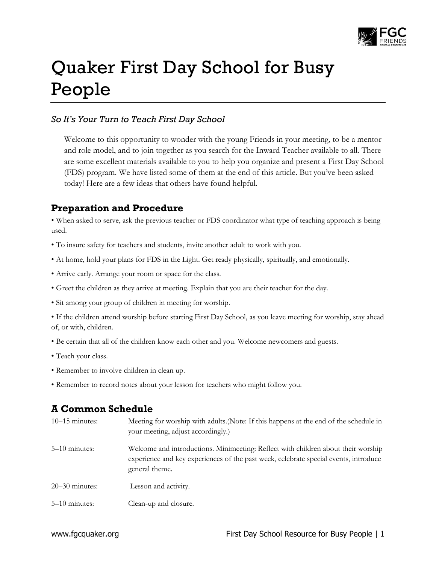

# Quaker First Day School for Busy People

### *So It's Your Turn to Teach First Day School*

Welcome to this opportunity to wonder with the young Friends in your meeting, to be a mentor and role model, and to join together as you search for the Inward Teacher available to all. There are some excellent materials available to you to help you organize and present a First Day School (FDS) program. We have listed some of them at the end of this article. But you've been asked today! Here are a few ideas that others have found helpful.

## **Preparation and Procedure**

• When asked to serve, ask the previous teacher or FDS coordinator what type of teaching approach is being used.

- To insure safety for teachers and students, invite another adult to work with you.
- At home, hold your plans for FDS in the Light. Get ready physically, spiritually, and emotionally.
- Arrive early. Arrange your room or space for the class.
- Greet the children as they arrive at meeting. Explain that you are their teacher for the day.
- Sit among your group of children in meeting for worship.

• If the children attend worship before starting First Day School, as you leave meeting for worship, stay ahead of, or with, children.

- Be certain that all of the children know each other and you. Welcome newcomers and guests.
- Teach your class.
- Remember to involve children in clean up.
- Remember to record notes about your lesson for teachers who might follow you.

## **A Common Schedule**

| $10-15$ minutes: | Meeting for worship with adults. (Note: If this happens at the end of the schedule in<br>your meeting, adjust accordingly.)                                                                 |
|------------------|---------------------------------------------------------------------------------------------------------------------------------------------------------------------------------------------|
| $5-10$ minutes:  | Welcome and introductions. Minimeeting: Reflect with children about their worship<br>experience and key experiences of the past week, celebrate special events, introduce<br>general theme. |
| $20-30$ minutes: | Lesson and activity.                                                                                                                                                                        |
| $5-10$ minutes:  | Clean-up and closure.                                                                                                                                                                       |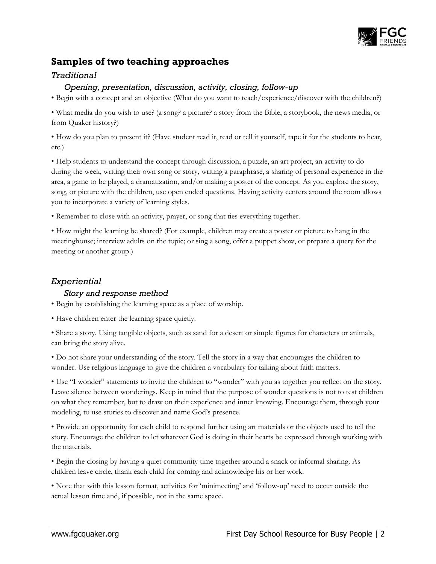

## **Samples of two teaching approaches**

#### *Traditional*

#### *Opening, presentation, discussion, activity, closing, follow-up*

• Begin with a concept and an objective (What do you want to teach/experience/discover with the children?)

• What media do you wish to use? (a song? a picture? a story from the Bible, a storybook, the news media, or from Quaker history?)

• How do you plan to present it? (Have student read it, read or tell it yourself, tape it for the students to hear, etc.)

• Help students to understand the concept through discussion, a puzzle, an art project, an activity to do during the week, writing their own song or story, writing a paraphrase, a sharing of personal experience in the area, a game to be played, a dramatization, and/or making a poster of the concept. As you explore the story, song, or picture with the children, use open ended questions. Having activity centers around the room allows you to incorporate a variety of learning styles.

• Remember to close with an activity, prayer, or song that ties everything together.

• How might the learning be shared? (For example, children may create a poster or picture to hang in the meetinghouse; interview adults on the topic; or sing a song, offer a puppet show, or prepare a query for the meeting or another group.)

#### *Experiential*

#### *Story and response method*

• Begin by establishing the learning space as a place of worship.

• Have children enter the learning space quietly.

• Share a story. Using tangible objects, such as sand for a desert or simple figures for characters or animals, can bring the story alive.

• Do not share your understanding of the story. Tell the story in a way that encourages the children to wonder. Use religious language to give the children a vocabulary for talking about faith matters.

• Use "I wonder" statements to invite the children to "wonder" with you as together you reflect on the story. Leave silence between wonderings. Keep in mind that the purpose of wonder questions is not to test children on what they remember, but to draw on their experience and inner knowing. Encourage them, through your modeling, to use stories to discover and name God's presence.

• Provide an opportunity for each child to respond further using art materials or the objects used to tell the story. Encourage the children to let whatever God is doing in their hearts be expressed through working with the materials.

• Begin the closing by having a quiet community time together around a snack or informal sharing. As children leave circle, thank each child for coming and acknowledge his or her work.

• Note that with this lesson format, activities for 'minimeeting' and 'follow-up' need to occur outside the actual lesson time and, if possible, not in the same space.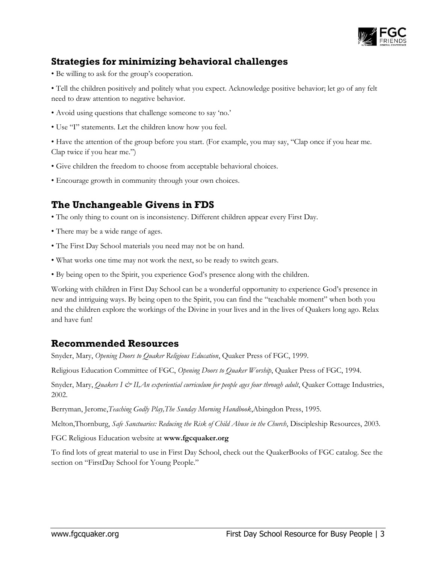

# **Strategies for minimizing behavioral challenges**

• Be willing to ask for the group's cooperation.

• Tell the children positively and politely what you expect. Acknowledge positive behavior; let go of any felt need to draw attention to negative behavior.

- Avoid using questions that challenge someone to say 'no.'
- Use "I" statements. Let the children know how you feel.

• Have the attention of the group before you start. (For example, you may say, "Clap once if you hear me. Clap twice if you hear me.")

- Give children the freedom to choose from acceptable behavioral choices.
- Encourage growth in community through your own choices.

## **The Unchangeable Givens in FDS**

- The only thing to count on is inconsistency. Different children appear every First Day.
- There may be a wide range of ages.
- The First Day School materials you need may not be on hand.
- What works one time may not work the next, so be ready to switch gears.
- By being open to the Spirit, you experience God's presence along with the children.

Working with children in First Day School can be a wonderful opportunity to experience God's presence in new and intriguing ways. By being open to the Spirit, you can find the "teachable moment" when both you and the children explore the workings of the Divine in your lives and in the lives of Quakers long ago. Relax and have fun!

## **Recommended Resources**

Snyder, Mary, *Opening Doors to Quaker Religious Education*, Quaker Press of FGC, 1999.

Religious Education Committee of FGC, *Opening Doors to Quaker Worship*, Quaker Press of FGC, 1994.

Snyder, Mary, *Quakers I & II, An experiential curriculum for people ages four through adult*, Quaker Cottage Industries, 2002.

Berryman, Jerome,*Teaching Godly Play,The Sunday Morning Handbook*,Abingdon Press, 1995.

Melton,Thornburg, *Safe Sanctuaries: Reducing the Risk of Child Abuse in the Church*, Discipleship Resources, 2003.

FGC Religious Education website at **www.fgcquaker.org**

To find lots of great material to use in First Day School, check out the QuakerBooks of FGC catalog. See the section on "FirstDay School for Young People."